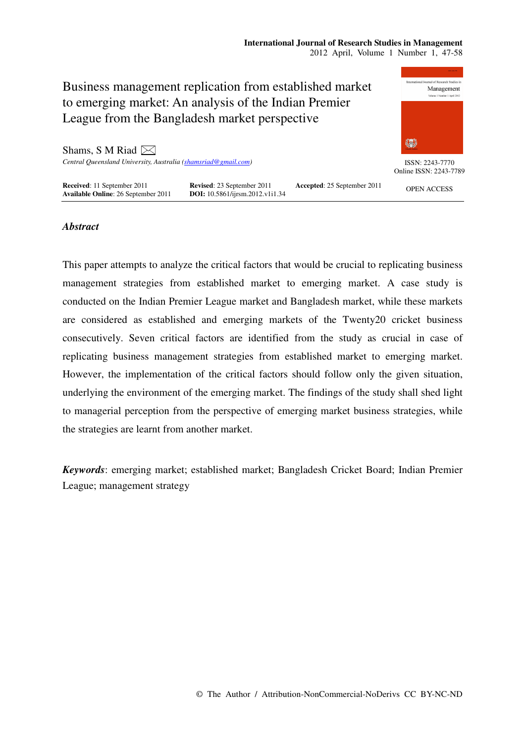

# *Abstract*

This paper attempts to analyze the critical factors that would be crucial to replicating business management strategies from established market to emerging market. A case study is conducted on the Indian Premier League market and Bangladesh market, while these markets are considered as established and emerging markets of the Twenty20 cricket business consecutively. Seven critical factors are identified from the study as crucial in case of replicating business management strategies from established market to emerging market. However, the implementation of the critical factors should follow only the given situation, underlying the environment of the emerging market. The findings of the study shall shed light to managerial perception from the perspective of emerging market business strategies, while the strategies are learnt from another market.

*Keywords*: emerging market; established market; Bangladesh Cricket Board; Indian Premier League; management strategy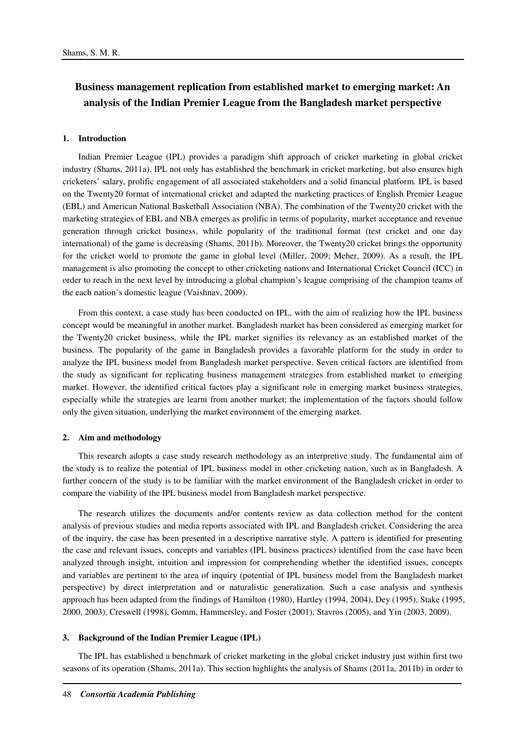# **Business management replication from established market to emerging market: An analysis of the Indian Premier League from the Bangladesh market perspective**

#### **1. Introduction**

Indian Premier League (IPL) provides a paradigm shift approach of cricket marketing in global cricket industry (Shams, 2011a). IPL not only has established the benchmark in cricket marketing, but also ensures high cricketers' salary, prolific engagement of all associated stakeholders and a solid financial platform. IPL is based on the Twenty20 format of international cricket and adapted the marketing practices of English Premier League (EBL) and American National Basketball Association (NBA). The combination of the Twenty20 cricket with the marketing strategies of EBL and NBA emerges as prolific in terms of popularity, market acceptance and revenue generation through cricket business, while popularity of the traditional format (test cricket and one day international) of the game is decreasing (Shams, 2011b). Moreover, the Twenty20 cricket brings the opportunity for the cricket world to promote the game in global level (Miller, 2009; Meher, 2009). As a result, the IPL management is also promoting the concept to other cricketing nations and International Cricket Council (ICC) in order to reach in the next level by introducing a global champion's league comprising of the champion teams of the each nation's domestic league (Vaishnav, 2009).

From this context, a case study has been conducted on IPL, with the aim of realizing how the IPL business concept would be meaningful in another market. Bangladesh market has been considered as emerging market for the Twenty20 cricket business, while the IPL market signifies its relevancy as an established market of the business. The popularity of the game in Bangladesh provides a favorable platform for the study in order to analyze the IPL business model from Bangladesh market perspective. Seven critical factors are identified from the study as significant for replicating business management strategies from established market to emerging market. However, the identified critical factors play a significant role in emerging market business strategies, especially while the strategies are learnt from another market; the implementation of the factors should follow only the given situation, underlying the market environment of the emerging market.

#### **2. Aim and methodology**

This research adopts a case study research methodology as an interpretive study. The fundamental aim of the study is to realize the potential of IPL business model in other cricketing nation, such as in Bangladesh. A further concern of the study is to be familiar with the market environment of the Bangladesh cricket in order to compare the viability of the IPL business model from Bangladesh market perspective.

The research utilizes the documents and/or contents review as data collection method for the content analysis of previous studies and media reports associated with IPL and Bangladesh cricket. Considering the area of the inquiry, the case has been presented in a descriptive narrative style. A pattern is identified for presenting the case and relevant issues, concepts and variables (IPL business practices) identified from the case have been analyzed through insight, intuition and impression for comprehending whether the identified issues, concepts and variables are pertinent to the area of inquiry (potential of IPL business model from the Bangladesh market perspective) by direct interpretation and or naturalistic generalization. Such a case analysis and synthesis approach has been adapted from the findings of Hamilton (1980), Hartley (1994, 2004), Dey (1995), Stake (1995, 2000, 2003), Creswell (1998), Gomm, Hammersley, and Foster (2001), Stavros (2005), and Yin (2003, 2009).

#### **3. Background of the Indian Premier League (IPL)**

The IPL has established a benchmark of cricket marketing in the global cricket industry just within first two seasons of its operation (Shams, 2011a). This section highlights the analysis of Shams (2011a, 2011b) in order to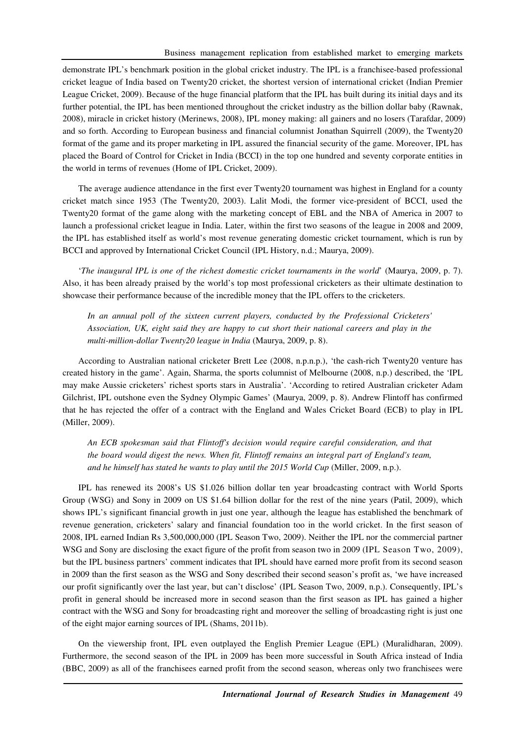demonstrate IPL's benchmark position in the global cricket industry. The IPL is a franchisee-based professional cricket league of India based on Twenty20 cricket, the shortest version of international cricket (Indian Premier League Cricket, 2009). Because of the huge financial platform that the IPL has built during its initial days and its further potential, the IPL has been mentioned throughout the cricket industry as the billion dollar baby (Rawnak, 2008), miracle in cricket history (Merinews, 2008), IPL money making: all gainers and no losers (Tarafdar, 2009) and so forth. According to European business and financial columnist Jonathan Squirrell (2009), the Twenty20 format of the game and its proper marketing in IPL assured the financial security of the game. Moreover, IPL has placed the Board of Control for Cricket in India (BCCI) in the top one hundred and seventy corporate entities in the world in terms of revenues (Home of IPL Cricket, 2009).

The average audience attendance in the first ever Twenty20 tournament was highest in England for a county cricket match since 1953 (The Twenty20, 2003). Lalit Modi, the former vice-president of BCCI, used the Twenty20 format of the game along with the marketing concept of EBL and the NBA of America in 2007 to launch a professional cricket league in India. Later, within the first two seasons of the league in 2008 and 2009, the IPL has established itself as world's most revenue generating domestic cricket tournament, which is run by BCCI and approved by International Cricket Council (IPL History, n.d.; Maurya, 2009).

'*The inaugural IPL is one of the richest domestic cricket tournaments in the world*' (Maurya, 2009, p. 7). Also, it has been already praised by the world's top most professional cricketers as their ultimate destination to showcase their performance because of the incredible money that the IPL offers to the cricketers.

*In an annual poll of the sixteen current players, conducted by the Professional Cricketers' Association, UK, eight said they are happy to cut short their national careers and play in the multi-million-dollar Twenty20 league in India* (Maurya, 2009, p. 8).

According to Australian national cricketer Brett Lee (2008, n.p.n.p.), 'the cash-rich Twenty20 venture has created history in the game'. Again, Sharma, the sports columnist of Melbourne (2008, n.p.) described, the 'IPL may make Aussie cricketers' richest sports stars in Australia'. 'According to retired Australian cricketer Adam Gilchrist, IPL outshone even the Sydney Olympic Games' (Maurya, 2009, p. 8). Andrew Flintoff has confirmed that he has rejected the offer of a contract with the England and Wales Cricket Board (ECB) to play in IPL (Miller, 2009).

*An ECB spokesman said that Flintoff's decision would require careful consideration, and that the board would digest the news. When fit, Flintoff remains an integral part of England's team,*  and he himself has stated he wants to play until the 2015 World Cup (Miller, 2009, n.p.).

IPL has renewed its 2008's US \$1.026 billion dollar ten year broadcasting contract with World Sports Group (WSG) and Sony in 2009 on US \$1.64 billion dollar for the rest of the nine years (Patil, 2009), which shows IPL's significant financial growth in just one year, although the league has established the benchmark of revenue generation, cricketers' salary and financial foundation too in the world cricket. In the first season of 2008, IPL earned Indian Rs 3,500,000,000 (IPL Season Two, 2009). Neither the IPL nor the commercial partner WSG and Sony are disclosing the exact figure of the profit from season two in 2009 (IPL Season Two, 2009), but the IPL business partners' comment indicates that IPL should have earned more profit from its second season in 2009 than the first season as the WSG and Sony described their second season's profit as, 'we have increased our profit significantly over the last year, but can't disclose' (IPL Season Two, 2009, n.p.). Consequently, IPL's profit in general should be increased more in second season than the first season as IPL has gained a higher contract with the WSG and Sony for broadcasting right and moreover the selling of broadcasting right is just one of the eight major earning sources of IPL (Shams, 2011b).

On the viewership front, IPL even outplayed the English Premier League (EPL) (Muralidharan, 2009). Furthermore, the second season of the IPL in 2009 has been more successful in South Africa instead of India (BBC, 2009) as all of the franchisees earned profit from the second season, whereas only two franchisees were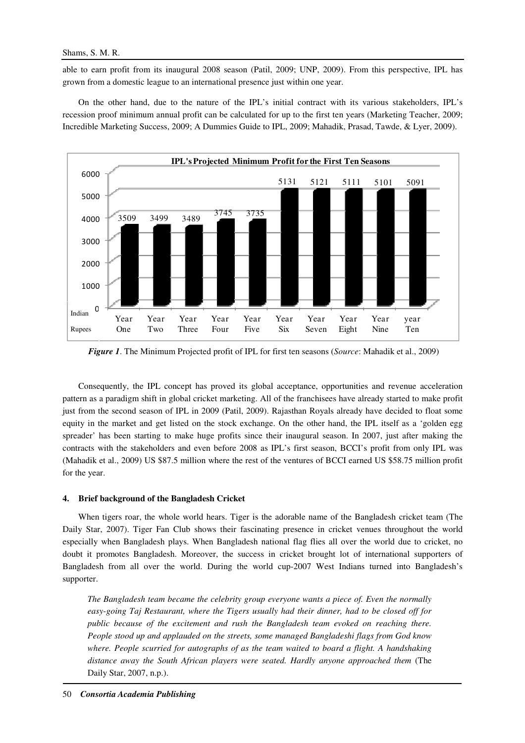able to earn profit from its inaugural 2008 season (Patil, 2009; UNP, 2009). From this perspective, IPL has grown from a domestic league to an international presence just within one year.

On the other hand, due to the nature of the IPL's initial contract with its various stakeholders, IPL's recession proof minimum annual profit can be calculated for up to the first ten years (Marketing Teacher, 2009; Incredible Marketing Success, 2009; A Dummies Guide to IPL, 2009; Mahadik, Prasad, Tawde, & Lyer, 2009).



*Figure 1*. The Minimum Projected profit of IPL for first ten seasons (*Source*: Mahadik et al., 2009)

Consequently, the IPL concept has proved its global acceptance, opportunities and revenue acceleration pattern as a paradigm shift in global cricket marketing. All of the franchisees have already started to make profit just from the second season of IPL in 2009 (Patil, 2009). Rajasthan Royals already have decided to float some equity in the market and get listed on the stock exchange. On the other hand, the IPL itself as a 'golden egg spreader' has been starting to make huge profits since their inaugural season. In 2007, just after making the contracts with the stakeholders and even before 2008 as IPL's first season, BCCI's profit from only IPL was (Mahadik et al., 2009) US \$87.5 million where the rest of the ventures of BCCI earned US \$58.75 million profit for the year.

# **4. Brief background of the Bangladesh Cricket**

When tigers roar, the whole world hears. Tiger is the adorable name of the Bangladesh cricket team (The Daily Star, 2007). Tiger Fan Club shows their fascinating presence in cricket venues throughout the world especially when Bangladesh plays. When Bangladesh national flag flies all over the world due to cricket, no doubt it promotes Bangladesh. Moreover, the success in cricket brought lot of international supporters of Bangladesh from all over the world. During the world cup-2007 West Indians turned into Bangladesh's supporter.

*The Bangladesh team became the celebrity group everyone wants a piece of. Even the normally easy-going Taj Restaurant, where the Tigers usually had their dinner, had to be closed off for public because of the excitement and rush the Bangladesh team evoked on reaching there. People stood up and applauded on the streets, some managed Bangladeshi flags from God know where. People scurried for autographs of as the team waited to board a flight. A handshaking distance away the South African players were seated. Hardly anyone approached them* (The Daily Star, 2007, n.p.).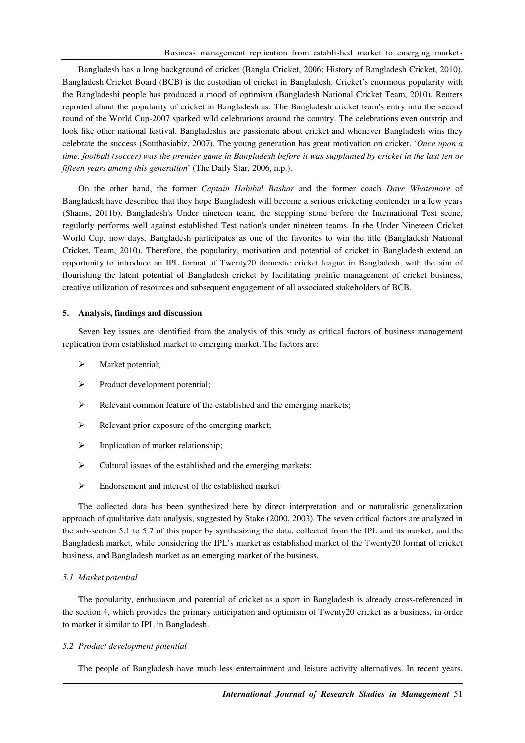Bangladesh has a long background of cricket (Bangla Cricket, 2006; History of Bangladesh Cricket, 2010). Bangladesh Cricket Board (BCB) is the custodian of cricket in Bangladesh. Cricket's enormous popularity with the Bangladeshi people has produced a mood of optimism (Bangladesh National Cricket Team, 2010). Reuters reported about the popularity of cricket in Bangladesh as: The Bangladesh cricket team's entry into the second round of the World Cup-2007 sparked wild celebrations around the country. The celebrations even outstrip and look like other national festival. Bangladeshis are passionate about cricket and whenever Bangladesh wins they celebrate the success (Southasiabiz, 2007). The young generation has great motivation on cricket. '*Once upon a time, football (soccer) was the premier game in Bangladesh before it was supplanted by cricket in the last ten or fifteen years among this generation*' (The Daily Star, 2006, n.p.).

On the other hand, the former *Captain Habibul Bashar* and the former coach *Dave Whatemore* of Bangladesh have described that they hope Bangladesh will become a serious cricketing contender in a few years (Shams, 2011b). Bangladesh's Under nineteen team, the stepping stone before the International Test scene, regularly performs well against established Test nation's under nineteen teams. In the Under Nineteen Cricket World Cup, now days, Bangladesh participates as one of the favorites to win the title (Bangladesh National Cricket, Team, 2010). Therefore, the popularity, motivation and potential of cricket in Bangladesh extend an opportunity to introduce an IPL format of Twenty20 domestic cricket league in Bangladesh, with the aim of flourishing the latent potential of Bangladesh cricket by facilitating prolific management of cricket business, creative utilization of resources and subsequent engagement of all associated stakeholders of BCB.

## **5. Analysis, findings and discussion**

Seven key issues are identified from the analysis of this study as critical factors of business management replication from established market to emerging market. The factors are:

- $\triangleright$  Market potential;
- $\triangleright$  Product development potential;
- Relevant common feature of the established and the emerging markets;
- Relevant prior exposure of the emerging market;
- $\triangleright$  Implication of market relationship;
- $\triangleright$  Cultural issues of the established and the emerging markets;
- $\triangleright$  Endorsement and interest of the established market

The collected data has been synthesized here by direct interpretation and or naturalistic generalization approach of qualitative data analysis, suggested by Stake (2000, 2003). The seven critical factors are analyzed in the sub-section 5.1 to 5.7 of this paper by synthesizing the data, collected from the IPL and its market, and the Bangladesh market, while considering the IPL's market as established market of the Twenty20 format of cricket business, and Bangladesh market as an emerging market of the business.

#### *5.1 Market potential*

The popularity, enthusiasm and potential of cricket as a sport in Bangladesh is already cross-referenced in the section 4, which provides the primary anticipation and optimism of Twenty20 cricket as a business, in order to market it similar to IPL in Bangladesh.

#### *5.2 Product development potential*

The people of Bangladesh have much less entertainment and leisure activity alternatives. In recent years,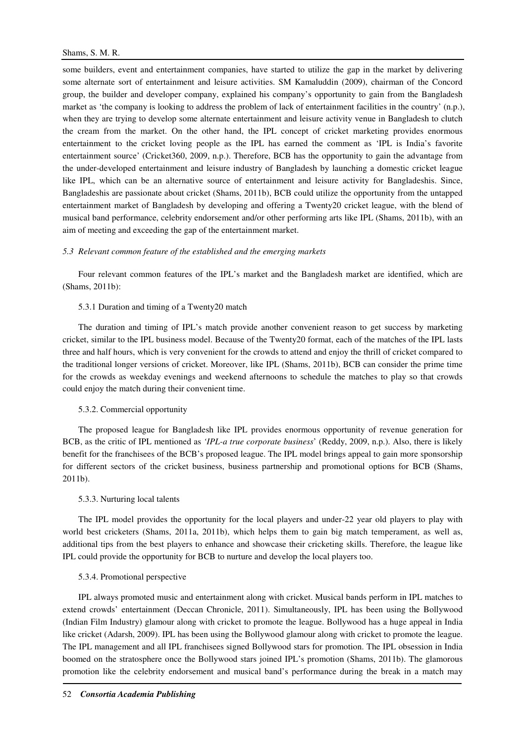some builders, event and entertainment companies, have started to utilize the gap in the market by delivering some alternate sort of entertainment and leisure activities. SM Kamaluddin (2009), chairman of the Concord group, the builder and developer company, explained his company's opportunity to gain from the Bangladesh market as 'the company is looking to address the problem of lack of entertainment facilities in the country' (n.p.), when they are trying to develop some alternate entertainment and leisure activity venue in Bangladesh to clutch the cream from the market. On the other hand, the IPL concept of cricket marketing provides enormous entertainment to the cricket loving people as the IPL has earned the comment as 'IPL is India's favorite entertainment source' (Cricket360, 2009, n.p.). Therefore, BCB has the opportunity to gain the advantage from the under-developed entertainment and leisure industry of Bangladesh by launching a domestic cricket league like IPL, which can be an alternative source of entertainment and leisure activity for Bangladeshis. Since, Bangladeshis are passionate about cricket (Shams, 2011b), BCB could utilize the opportunity from the untapped entertainment market of Bangladesh by developing and offering a Twenty20 cricket league, with the blend of musical band performance, celebrity endorsement and/or other performing arts like IPL (Shams, 2011b), with an aim of meeting and exceeding the gap of the entertainment market.

#### *5.3 Relevant common feature of the established and the emerging markets*

Four relevant common features of the IPL's market and the Bangladesh market are identified, which are (Shams, 2011b):

## 5.3.1 Duration and timing of a Twenty20 match

The duration and timing of IPL's match provide another convenient reason to get success by marketing cricket, similar to the IPL business model. Because of the Twenty20 format, each of the matches of the IPL lasts three and half hours, which is very convenient for the crowds to attend and enjoy the thrill of cricket compared to the traditional longer versions of cricket. Moreover, like IPL (Shams, 2011b), BCB can consider the prime time for the crowds as weekday evenings and weekend afternoons to schedule the matches to play so that crowds could enjoy the match during their convenient time.

#### 5.3.2. Commercial opportunity

The proposed league for Bangladesh like IPL provides enormous opportunity of revenue generation for BCB, as the critic of IPL mentioned as *'IPL-a true corporate business*' (Reddy, 2009, n.p.). Also, there is likely benefit for the franchisees of the BCB's proposed league. The IPL model brings appeal to gain more sponsorship for different sectors of the cricket business, business partnership and promotional options for BCB (Shams, 2011b).

## 5.3.3. Nurturing local talents

The IPL model provides the opportunity for the local players and under-22 year old players to play with world best cricketers (Shams, 2011a, 2011b), which helps them to gain big match temperament, as well as, additional tips from the best players to enhance and showcase their cricketing skills. Therefore, the league like IPL could provide the opportunity for BCB to nurture and develop the local players too.

## 5.3.4. Promotional perspective

IPL always promoted music and entertainment along with cricket. Musical bands perform in IPL matches to extend crowds' entertainment (Deccan Chronicle, 2011). Simultaneously, IPL has been using the Bollywood (Indian Film Industry) glamour along with cricket to promote the league. Bollywood has a huge appeal in India like cricket (Adarsh, 2009). IPL has been using the Bollywood glamour along with cricket to promote the league. The IPL management and all IPL franchisees signed Bollywood stars for promotion. The IPL obsession in India boomed on the stratosphere once the Bollywood stars joined IPL's promotion (Shams, 2011b). The glamorous promotion like the celebrity endorsement and musical band's performance during the break in a match may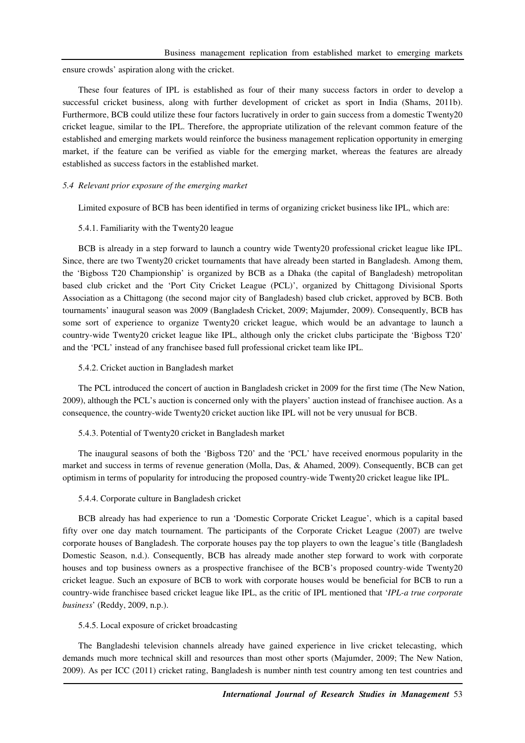ensure crowds' aspiration along with the cricket.

These four features of IPL is established as four of their many success factors in order to develop a successful cricket business, along with further development of cricket as sport in India (Shams, 2011b). Furthermore, BCB could utilize these four factors lucratively in order to gain success from a domestic Twenty20 cricket league, similar to the IPL. Therefore, the appropriate utilization of the relevant common feature of the established and emerging markets would reinforce the business management replication opportunity in emerging market, if the feature can be verified as viable for the emerging market, whereas the features are already established as success factors in the established market.

#### *5.4 Relevant prior exposure of the emerging market*

Limited exposure of BCB has been identified in terms of organizing cricket business like IPL, which are:

#### 5.4.1. Familiarity with the Twenty20 league

BCB is already in a step forward to launch a country wide Twenty20 professional cricket league like IPL. Since, there are two Twenty20 cricket tournaments that have already been started in Bangladesh. Among them, the 'Bigboss T20 Championship' is organized by BCB as a Dhaka (the capital of Bangladesh) metropolitan based club cricket and the 'Port City Cricket League (PCL)', organized by Chittagong Divisional Sports Association as a Chittagong (the second major city of Bangladesh) based club cricket, approved by BCB. Both tournaments' inaugural season was 2009 (Bangladesh Cricket, 2009; Majumder, 2009). Consequently, BCB has some sort of experience to organize Twenty20 cricket league, which would be an advantage to launch a country-wide Twenty20 cricket league like IPL, although only the cricket clubs participate the 'Bigboss T20' and the 'PCL' instead of any franchisee based full professional cricket team like IPL.

#### 5.4.2. Cricket auction in Bangladesh market

The PCL introduced the concert of auction in Bangladesh cricket in 2009 for the first time (The New Nation, 2009), although the PCL's auction is concerned only with the players' auction instead of franchisee auction. As a consequence, the country-wide Twenty20 cricket auction like IPL will not be very unusual for BCB.

# 5.4.3. Potential of Twenty20 cricket in Bangladesh market

The inaugural seasons of both the 'Bigboss T20' and the 'PCL' have received enormous popularity in the market and success in terms of revenue generation (Molla, Das, & Ahamed, 2009). Consequently, BCB can get optimism in terms of popularity for introducing the proposed country-wide Twenty20 cricket league like IPL.

#### 5.4.4. Corporate culture in Bangladesh cricket

BCB already has had experience to run a 'Domestic Corporate Cricket League', which is a capital based fifty over one day match tournament. The participants of the Corporate Cricket League (2007) are twelve corporate houses of Bangladesh. The corporate houses pay the top players to own the league's title (Bangladesh Domestic Season, n.d.). Consequently, BCB has already made another step forward to work with corporate houses and top business owners as a prospective franchisee of the BCB's proposed country-wide Twenty20 cricket league. Such an exposure of BCB to work with corporate houses would be beneficial for BCB to run a country-wide franchisee based cricket league like IPL, as the critic of IPL mentioned that '*IPL-a true corporate business*' (Reddy, 2009, n.p.).

#### 5.4.5. Local exposure of cricket broadcasting

The Bangladeshi television channels already have gained experience in live cricket telecasting, which demands much more technical skill and resources than most other sports (Majumder, 2009; The New Nation, 2009). As per ICC (2011) cricket rating, Bangladesh is number ninth test country among ten test countries and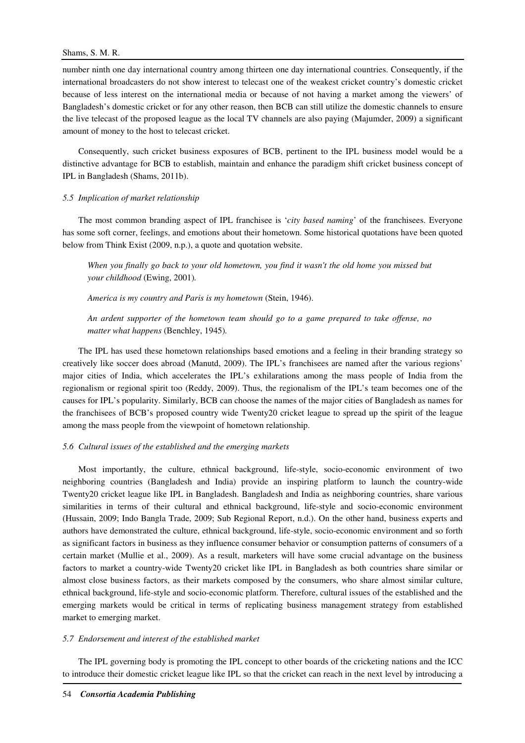# Shams, S. M. R.

number ninth one day international country among thirteen one day international countries. Consequently, if the international broadcasters do not show interest to telecast one of the weakest cricket country's domestic cricket because of less interest on the international media or because of not having a market among the viewers' of Bangladesh's domestic cricket or for any other reason, then BCB can still utilize the domestic channels to ensure the live telecast of the proposed league as the local TV channels are also paying (Majumder, 2009) a significant amount of money to the host to telecast cricket.

Consequently, such cricket business exposures of BCB, pertinent to the IPL business model would be a distinctive advantage for BCB to establish, maintain and enhance the paradigm shift cricket business concept of IPL in Bangladesh (Shams, 2011b).

# *5.5 Implication of market relationship*

The most common branding aspect of IPL franchisee is '*city based naming*' of the franchisees. Everyone has some soft corner, feelings, and emotions about their hometown. Some historical quotations have been quoted below from Think Exist (2009, n.p.), a quote and quotation website.

*When you finally go back to your old hometown, you find it wasn't the old home you missed but your childhood* (Ewing, 2001)*.* 

*America is my country and Paris is my hometown* (Stein, 1946).

*An ardent supporter of the hometown team should go to a game prepared to take offense, no matter what happens* (Benchley, 1945)*.* 

The IPL has used these hometown relationships based emotions and a feeling in their branding strategy so creatively like soccer does abroad (Manutd, 2009). The IPL's franchisees are named after the various regions' major cities of India, which accelerates the IPL's exhilarations among the mass people of India from the regionalism or regional spirit too (Reddy, 2009). Thus, the regionalism of the IPL's team becomes one of the causes for IPL's popularity. Similarly, BCB can choose the names of the major cities of Bangladesh as names for the franchisees of BCB's proposed country wide Twenty20 cricket league to spread up the spirit of the league among the mass people from the viewpoint of hometown relationship.

# *5.6 Cultural issues of the established and the emerging markets*

Most importantly, the culture, ethnical background, life-style, socio-economic environment of two neighboring countries (Bangladesh and India) provide an inspiring platform to launch the country-wide Twenty20 cricket league like IPL in Bangladesh. Bangladesh and India as neighboring countries, share various similarities in terms of their cultural and ethnical background, life-style and socio-economic environment (Hussain, 2009; Indo Bangla Trade, 2009; Sub Regional Report, n.d.). On the other hand, business experts and authors have demonstrated the culture, ethnical background, life-style, socio-economic environment and so forth as significant factors in business as they influence consumer behavior or consumption patterns of consumers of a certain market (Mullie et al., 2009). As a result, marketers will have some crucial advantage on the business factors to market a country-wide Twenty20 cricket like IPL in Bangladesh as both countries share similar or almost close business factors, as their markets composed by the consumers, who share almost similar culture, ethnical background, life-style and socio-economic platform. Therefore, cultural issues of the established and the emerging markets would be critical in terms of replicating business management strategy from established market to emerging market.

# *5.7 Endorsement and interest of the established market*

The IPL governing body is promoting the IPL concept to other boards of the cricketing nations and the ICC to introduce their domestic cricket league like IPL so that the cricket can reach in the next level by introducing a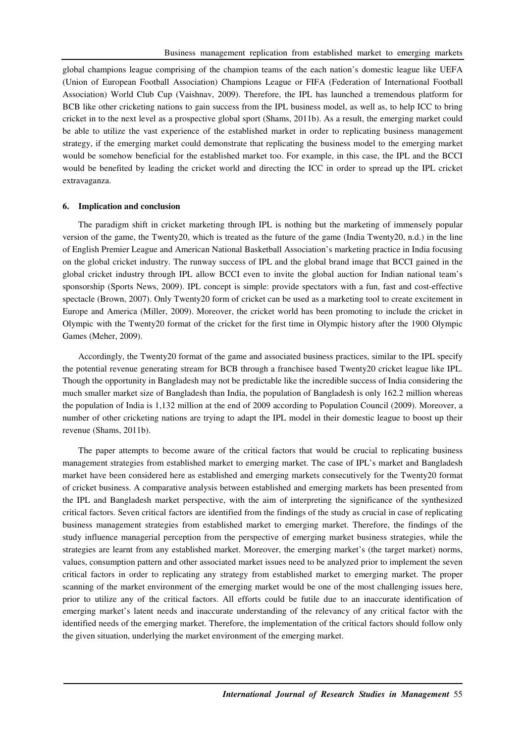global champions league comprising of the champion teams of the each nation's domestic league like UEFA (Union of European Football Association) Champions League or FIFA (Federation of International Football Association) World Club Cup (Vaishnav, 2009). Therefore, the IPL has launched a tremendous platform for BCB like other cricketing nations to gain success from the IPL business model, as well as, to help ICC to bring cricket in to the next level as a prospective global sport (Shams, 2011b). As a result, the emerging market could be able to utilize the vast experience of the established market in order to replicating business management strategy, if the emerging market could demonstrate that replicating the business model to the emerging market would be somehow beneficial for the established market too. For example, in this case, the IPL and the BCCI would be benefited by leading the cricket world and directing the ICC in order to spread up the IPL cricket extravaganza.

#### **6. Implication and conclusion**

The paradigm shift in cricket marketing through IPL is nothing but the marketing of immensely popular version of the game, the Twenty20, which is treated as the future of the game (India Twenty20, n.d.) in the line of English Premier League and American National Basketball Association's marketing practice in India focusing on the global cricket industry. The runway success of IPL and the global brand image that BCCI gained in the global cricket industry through IPL allow BCCI even to invite the global auction for Indian national team's sponsorship (Sports News, 2009). IPL concept is simple: provide spectators with a fun, fast and cost-effective spectacle (Brown, 2007). Only Twenty20 form of cricket can be used as a marketing tool to create excitement in Europe and America (Miller, 2009). Moreover, the cricket world has been promoting to include the cricket in Olympic with the Twenty20 format of the cricket for the first time in Olympic history after the 1900 Olympic Games (Meher, 2009).

Accordingly, the Twenty20 format of the game and associated business practices, similar to the IPL specify the potential revenue generating stream for BCB through a franchisee based Twenty20 cricket league like IPL. Though the opportunity in Bangladesh may not be predictable like the incredible success of India considering the much smaller market size of Bangladesh than India, the population of Bangladesh is only 162.2 million whereas the population of India is 1,132 million at the end of 2009 according to Population Council (2009). Moreover, a number of other cricketing nations are trying to adapt the IPL model in their domestic league to boost up their revenue (Shams, 2011b).

The paper attempts to become aware of the critical factors that would be crucial to replicating business management strategies from established market to emerging market. The case of IPL's market and Bangladesh market have been considered here as established and emerging markets consecutively for the Twenty20 format of cricket business. A comparative analysis between established and emerging markets has been presented from the IPL and Bangladesh market perspective, with the aim of interpreting the significance of the synthesized critical factors. Seven critical factors are identified from the findings of the study as crucial in case of replicating business management strategies from established market to emerging market. Therefore, the findings of the study influence managerial perception from the perspective of emerging market business strategies, while the strategies are learnt from any established market. Moreover, the emerging market's (the target market) norms, values, consumption pattern and other associated market issues need to be analyzed prior to implement the seven critical factors in order to replicating any strategy from established market to emerging market. The proper scanning of the market environment of the emerging market would be one of the most challenging issues here, prior to utilize any of the critical factors. All efforts could be futile due to an inaccurate identification of emerging market's latent needs and inaccurate understanding of the relevancy of any critical factor with the identified needs of the emerging market. Therefore, the implementation of the critical factors should follow only the given situation, underlying the market environment of the emerging market.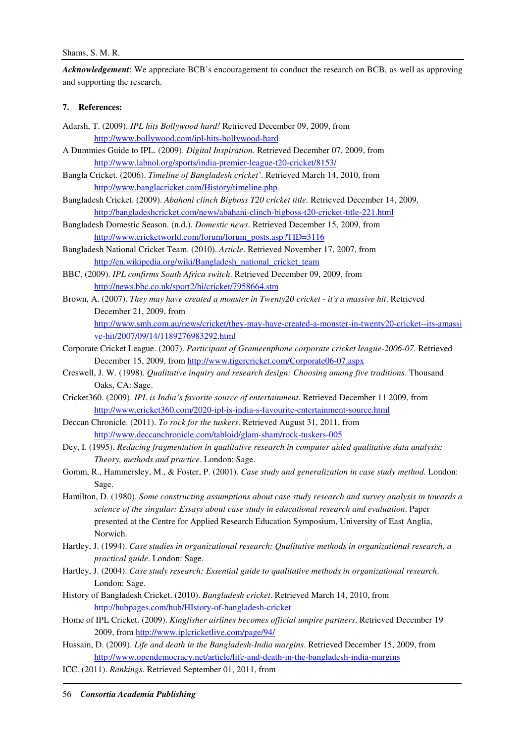*Acknowledgement*: We appreciate BCB's encouragement to conduct the research on BCB, as well as approving and supporting the research.

## **7. References:**

- Adarsh, T. (2009). *IPL hits Bollywood hard!* Retrieved December 09, 2009, from http://www.bollywood.com/ipl-hits-bollywood-hard
- A Dummies Guide to IPL. (2009). *Digital Inspiration.* Retrieved December 07, 2009, from http://www.labnol.org/sports/india-premier-league-t20-cricket/8153/
- Bangla Cricket. (2006). *Timeline of Bangladesh cricket'*. Retrieved March 14, 2010, from http://www.banglacricket.com/History/timeline.php
- Bangladesh Cricket. (2009). *Abahoni clinch Bigboss T20 cricket title*. Retrieved December 14, 2009, http://bangladeshcricket.com/news/abahani-clinch-bigboss-t20-cricket-title-221.html
- Bangladesh Domestic Season. (n.d.). *Domestic news*. Retrieved December 15, 2009, from http://www.cricketworld.com/forum/forum\_posts.asp?TID=3116
- Bangladesh National Cricket Team. (2010). *Article*. Retrieved November 17, 2007, from http://en.wikipedia.org/wiki/Bangladesh\_national\_cricket\_team
- BBC. (2009). *IPL confirms South Africa switch*. Retrieved December 09, 2009, from http://news.bbc.co.uk/sport2/hi/cricket/7958664.stm
- Brown, A. (2007). *They may have created a monster in Twenty20 cricket it's a massive hit*. Retrieved December 21, 2009, from

http://www.smh.com.au/news/cricket/they-may-have-created-a-monster-in-twenty20-cricket--its-amassi ve-hit/2007/09/14/1189276983292.html

- Corporate Cricket League. (2007). *Participant of Grameenphone corporate cricket league-2006-07*. Retrieved December 15, 2009, from http://www.tigercricket.com/Corporate06-07.aspx
- Creswell, J. W. (1998). *Qualitative inquiry and research design: Choosing among five traditions*. Thousand Oaks, CA: Sage.
- Cricket360. (2009). *IPL is India's favorite source of entertainment*. Retrieved December 11 2009, from http://www.cricket360.com/2020-ipl-is-india-s-favourite-entertainment-source.html
- Deccan Chronicle. (2011). *To rock for the tuskers*. Retrieved August 31, 2011, from http://www.deccanchronicle.com/tabloid/glam-sham/rock-tuskers-005
- Dey, I. (1995). *Reducing fragmentation in qualitative research in computer aided qualitative data analysis: Theory, methods and practice*. London: Sage.
- Gomm, R., Hammersley, M., & Foster, P. (2001). *Case study and generalization in case study method.* London: Sage.
- Hamilton, D. (1980). *Some constructing assumptions about case study research and survey analysis in towards a science of the singular: Essays about case study in educational research and evaluation*. Paper presented at the Centre for Applied Research Education Symposium, University of East Anglia, Norwich.
- Hartley, J. (1994). *Case studies in organizational research: Qualitative methods in organizational research, a practical guide*. London: Sage.
- Hartley, J. (2004). *Case study research: Essential guide to qualitative methods in organizational research*. London: Sage.
- History of Bangladesh Cricket. (2010). *Bangladesh cricket*. Retrieved March 14, 2010, from http://hubpages.com/hub/HIstory-of-bangladesh-cricket
- Home of IPL Cricket. (2009). *Kingfisher airlines becomes official umpire partners*. Retrieved December 19 2009, from http://www.iplcricketlive.com/page/94/
- Hussain, D. (2009). *Life and death in the Bangladesh-India margins*. Retrieved December 15, 2009, from http://www.opendemocracy.net/article/life-and-death-in-the-bangladesh-india-margins
- ICC. (2011). *Rankings*. Retrieved September 01, 2011, from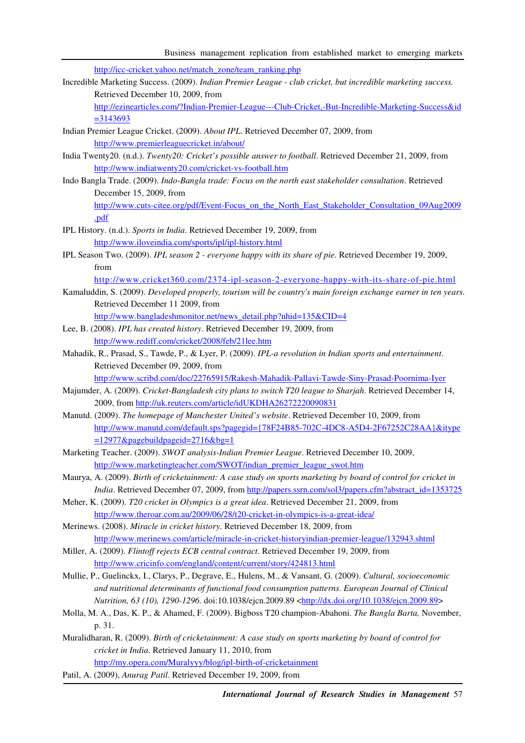http://icc-cricket.yahoo.net/match\_zone/team\_ranking.php

Incredible Marketing Success. (2009). *Indian Premier League - club cricket, but incredible marketing success.* Retrieved December 10, 2009, from

http://ezinearticles.com/?Indian-Premier-League---Club-Cricket,-But-Incredible-Marketing-Success&id =3143693

- Indian Premier League Cricket. (2009). *About IPL*. Retrieved December 07, 2009, from http://www.premierleaguecricket.in/about/
- India Twenty20. (n.d.). *Twenty20: Cricket's possible answer to football*. Retrieved December 21, 2009, from http://www.indiatwenty20.com/cricket-vs-football.htm
- Indo Bangla Trade. (2009). *Indo-Bangla trade: Focus on the north east stakeholder consultation*. Retrieved December 15, 2009, from http://www.cuts-citee.org/pdf/Event-Focus\_on\_the\_North\_East\_Stakeholder\_Consultation\_09Aug2009 .pdf
- IPL History. (n.d.). *Sports in India*. Retrieved December 19, 2009, from http://www.iloveindia.com/sports/ipl/ipl-history.html
- IPL Season Two. (2009). *IPL season 2 everyone happy with its share of pie.* Retrieved December 19, 2009, from

http://www.cricket360.com/2374-ipl-season-2-everyone-happy-with-its-share-of-pie.html

Kamaluddin, S. (2009). *Developed properly, tourism will be country's main foreign exchange earner in ten years*. Retrieved December 11 2009, from

http://www.bangladeshmonitor.net/news\_detail.php?nhid=135&CID=4

- Lee, B. (2008). *IPL has created history*. Retrieved December 19, 2009, from http://www.rediff.com/cricket/2008/feb/21lee.htm
- Mahadik, R., Prasad, S., Tawde, P., & Lyer, P. (2009). *IPL-a revolution in Indian sports and entertainment*. Retrieved December 09, 2009, from

http://www.scribd.com/doc/22765915/Rakesh-Mahadik-Pallavi-Tawde-Siny-Prasad-Poornima-Iyer

- Majumder, A. (2009). *Cricket-Bangladesh city plans to switch T20 league to Sharjah*. Retrieved December 14, 2009, from http://uk.reuters.com/article/idUKDHA26272220090831
- Manutd. (2009). *The homepage of Manchester United's website*. Retrieved December 10, 2009, from http://www.manutd.com/default.sps?pagegid={78F24B85-702C-4DC8-A5D4-2F67252C28AA}&itype =12977&pagebuildpageid=2716&bg=1
- Marketing Teacher. (2009). *SWOT analysis-Indian Premier League*. Retrieved December 10, 2009, http://www.marketingteacher.com/SWOT/indian\_premier\_league\_swot.htm
- Maurya, A. (2009). *Birth of cricketainment: A case study on sports marketing by board of control for cricket in India*. Retrieved December 07, 2009, from http://papers.ssrn.com/sol3/papers.cfm?abstract\_id=1353725
- Meher, K. (2009). *T20 cricket in Olympics is a great idea*. Retrieved December 21, 2009, from http://www.theroar.com.au/2009/06/28/t20-cricket-in-olympics-is-a-great-idea/
- Merinews. (2008). *Miracle in cricket history*. Retrieved December 18, 2009, from http://www.merinews.com/article/miracle-in-cricket-historyindian-premier-league/132943.shtml
- Miller, A. (2009). *Flintoff rejects ECB central contract*. Retrieved December 19, 2009, from http://www.cricinfo.com/england/content/current/story/424813.html
- Mullie, P., Guelinckx, I., Clarys, P., Degrave, E., Hulens, M., & Vansant, G. (2009). *Cultural, socioeconomic and nutritional determinants of functional food consumption patterns*. *European Journal of Clinical Nutrition, 63 (10), 1290-1296.* doi:10.1038/ejcn.2009.89 <http://dx.doi.org/10.1038/ejcn.2009.89>
- Molla, M. A., Das, K. P., & Ahamed, F. (2009). Bigboss T20 champion-Abahoni. *The Bangla Barta,* November, p. 31.

Muralidharan, R. (2009). *Birth of cricketainment: A case study on sports marketing by board of control for cricket in India*. Retrieved January 11, 2010, from http://my.opera.com/Muralyyy/blog/ipl-birth-of-cricketainment

Patil, A. (2009), *Anurag Patil*. Retrieved December 19, 2009, from